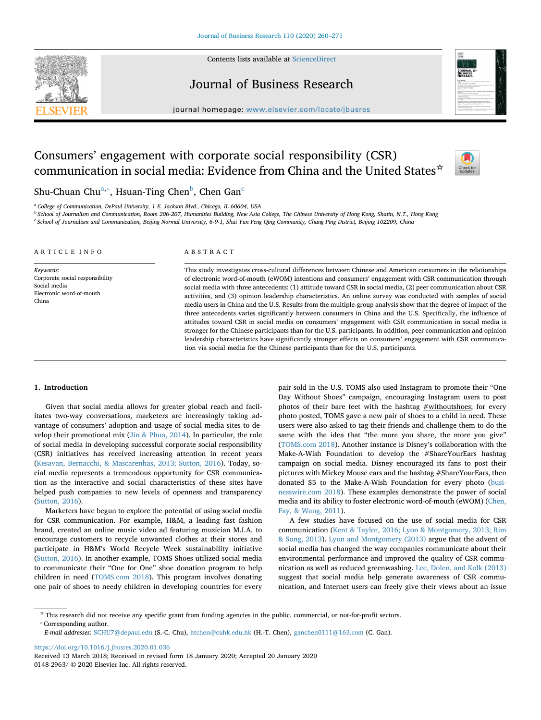Contents lists available at [ScienceDirect](http://www.sciencedirect.com/science/journal/01482963)





Journal of Business Research

journal homepage: [www.elsevier.com/locate/jbusres](https://www.elsevier.com/locate/jbusres)

# Consumers' engagement with corporate social responsibility (CSR) communication in social media: Evidence from China and the United States☆



Shu-Chuan Chu $^{\mathrm{a},*}$ , Hsuan-Ting Chen $^{\mathrm{b}}$  $^{\mathrm{b}}$  $^{\mathrm{b}}$ , Chen Gan $^{\mathrm{c}}$  $^{\mathrm{c}}$  $^{\mathrm{c}}$ 

<span id="page-0-0"></span><sup>a</sup> *College of Communication, DePaul University, 1 E. Jackson Blvd., Chicago, IL 60604, USA*

<span id="page-0-2"></span><sup>b</sup> *School of Journalism and Communication, Room 206-207, Humanities Building, New Asia College, The Chinese University of Hong Kong, Shatin, N.T., Hong Kong*

<span id="page-0-3"></span><sup>c</sup> *School of Journalism and Communication, Beijing Normal University, 6-9-1, Shui Yun Feng Qing Community, Chang Ping District, Beijing 102209, China*

| ARTICLE INFO                                                                         | ABSTRACT                                                                                                                                                                                                                                                                                                                                                                                                                                                                                                                                                                                                                                                                                                                                                                                                       |
|--------------------------------------------------------------------------------------|----------------------------------------------------------------------------------------------------------------------------------------------------------------------------------------------------------------------------------------------------------------------------------------------------------------------------------------------------------------------------------------------------------------------------------------------------------------------------------------------------------------------------------------------------------------------------------------------------------------------------------------------------------------------------------------------------------------------------------------------------------------------------------------------------------------|
| Keywords:                                                                            | This study investigates cross-cultural differences between Chinese and American consumers in the relationships                                                                                                                                                                                                                                                                                                                                                                                                                                                                                                                                                                                                                                                                                                 |
| Corporate social responsibility<br>Social media<br>Electronic word-of-mouth<br>China | of electronic word-of-mouth (eWOM) intentions and consumers' engagement with CSR communication through<br>social media with three antecedents: (1) attitude toward CSR in social media, (2) peer communication about CSR<br>activities, and (3) opinion leadership characteristics. An online survey was conducted with samples of social<br>media users in China and the U.S. Results from the multiple-group analysis show that the degree of impact of the<br>three antecedents varies significantly between consumers in China and the U.S. Specifically, the influence of<br>attitudes toward CSR in social media on consumers' engagement with CSR communication in social media is<br>stronger for the Chinese participants than for the U.S. participants. In addition, peer communication and opinion |

tion via social media for the Chinese participants than for the U.S. participants.

# **1. Introduction**

Given that social media allows for greater global reach and facilitates two-way conversations, marketers are increasingly taking advantage of consumers' adoption and usage of social media sites to develop their promotional mix [\(Jin & Phua, 2014\)](#page-11-0). In particular, the role of social media in developing successful corporate social responsibility (CSR) initiatives has received increasing attention in recent years ([Kesavan, Bernacchi, & Mascarenhas, 2013; Sutton, 2016](#page-11-1)). Today, social media represents a tremendous opportunity for CSR communication as the interactive and social characteristics of these sites have helped push companies to new levels of openness and transparency ([Sutton, 2016](#page-11-2)).

Marketers have begun to explore the potential of using social media for CSR communication. For example, H&M, a leading fast fashion brand, created an online music video ad featuring musician M.I.A. to encourage customers to recycle unwanted clothes at their stores and participate in H&M's World Recycle Week sustainability initiative ([Sutton, 2016](#page-11-2)). In another example, TOMS Shoes utilized social media to communicate their "One for One" shoe donation program to help children in need ([TOMS.com 2018](#page-11-3)). This program involves donating one pair of shoes to needy children in developing countries for every

pair sold in the U.S. TOMS also used Instagram to promote their "One Day Without Shoes" campaign, encouraging Instagram users to post photos of their bare feet with the hashtag **#withoutshoes**; for every photo posted, TOMS gave a new pair of shoes to a child in need. These users were also asked to tag their friends and challenge them to do the same with the idea that "the more you share, the more you give" ([TOMS.com 2018\)](#page-11-3). Another instance is Disney's collaboration with the Make-A-Wish Foundation to develop the #ShareYourEars hashtag campaign on social media. Disney encouraged its fans to post their pictures with Mickey Mouse ears and the hashtag #ShareYourEars, then donated \$5 to the Make-A-Wish Foundation for every photo ([busi](#page-10-0)[nesswire.com 2018\)](#page-10-0). These examples demonstrate the power of social media and its ability to foster electronic word-of-mouth (eWOM) [\(Chen,](#page-10-1) [Fay, & Wang, 2011](#page-10-1)).

leadership characteristics have significantly stronger effects on consumers' engagement with CSR communica-

A few studies have focused on the use of social media for CSR communication ([Kent & Taylor, 2016; Lyon & Montgomery, 2013; Rim](#page-11-4) [& Song, 2013\)](#page-11-4). [Lyon and Montgomery \(2013\)](#page-11-5) argue that the advent of social media has changed the way companies communicate about their environmental performance and improved the quality of CSR communication as well as reduced greenwashing. [Lee, Dolen, and Kolk \(2013\)](#page-11-6) suggest that social media help generate awareness of CSR communication, and Internet users can freely give their views about an issue

<https://doi.org/10.1016/j.jbusres.2020.01.036>

<span id="page-0-1"></span><sup>☆</sup> This research did not receive any specific grant from funding agencies in the public, commercial, or not-for-profit sectors. ⁎ Corresponding author.

*E-mail addresses:* [SCHU7@depaul.edu](mailto:SCHU7@depaul.edu) (S.-C. Chu), [htchen@cuhk.edu.hk](mailto:htchen@cuhk.edu.hk) (H.-T. Chen), [ganchen0111@163.com](mailto:ganchen0111@163.com) (C. Gan).

Received 13 March 2018; Received in revised form 18 January 2020; Accepted 20 January 2020 0148-2963/ © 2020 Elsevier Inc. All rights reserved.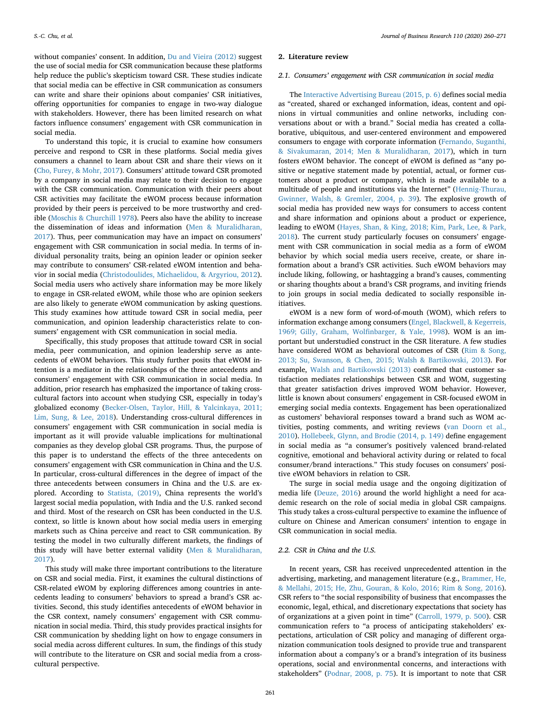without companies' consent. In addition, [Du and Vieira \(2012\)](#page-10-2) suggest the use of social media for CSR communication because these platforms help reduce the public's skepticism toward CSR. These studies indicate that social media can be effective in CSR communication as consumers can write and share their opinions about companies' CSR initiatives, offering opportunities for companies to engage in two-way dialogue with stakeholders. However, there has been limited research on what factors influence consumers' engagement with CSR communication in social media.

To understand this topic, it is crucial to examine how consumers perceive and respond to CSR in these platforms. Social media gives consumers a channel to learn about CSR and share their views on it ([Cho, Furey, & Mohr, 2017\)](#page-10-3). Consumers' attitude toward CSR promoted by a company in social media may relate to their decision to engage with the CSR communication. Communication with their peers about CSR activities may facilitate the eWOM process because information provided by their peers is perceived to be more trustworthy and credible [\(Moschis & Churchill 1978\)](#page-11-7). Peers also have the ability to increase the dissemination of ideas and information ([Men & Muralidharan,](#page-11-8) [2017\)](#page-11-8). Thus, peer communication may have an impact on consumers' engagement with CSR communication in social media. In terms of individual personality traits, being an opinion leader or opinion seeker may contribute to consumers' CSR-related eWOM intention and behavior in social media [\(Christodoulides, Michaelidou, & Argyriou, 2012](#page-10-4)). Social media users who actively share information may be more likely to engage in CSR-related eWOM, while those who are opinion seekers are also likely to generate eWOM communication by asking questions. This study examines how attitude toward CSR in social media, peer communication, and opinion leadership characteristics relate to consumers' engagement with CSR communication in social media.

Specifically, this study proposes that attitude toward CSR in social media, peer communication, and opinion leadership serve as antecedents of eWOM behaviors. This study further posits that eWOM intention is a mediator in the relationships of the three antecedents and consumers' engagement with CSR communication in social media. In addition, prior research has emphasized the importance of taking crosscultural factors into account when studying CSR, especially in today's globalized economy ([Becker-Olsen, Taylor, Hill, & Yalcinkaya, 2011;](#page-10-5) [Lim, Sung, & Lee, 2018\)](#page-10-5). Understanding cross-cultural differences in consumers' engagement with CSR communication in social media is important as it will provide valuable implications for multinational companies as they develop global CSR programs. Thus, the purpose of this paper is to understand the effects of the three antecedents on consumers' engagement with CSR communication in China and the U.S. In particular, cross-cultural differences in the degree of impact of the three antecedents between consumers in China and the U.S. are explored. According to [Statista, \(2019\)](#page-11-9), China represents the world's largest social media population, with India and the U.S. ranked second and third. Most of the research on CSR has been conducted in the U.S. context, so little is known about how social media users in emerging markets such as China perceive and react to CSR communication. By testing the model in two culturally different markets, the findings of this study will have better external validity ([Men & Muralidharan,](#page-11-8) [2017\)](#page-11-8).

This study will make three important contributions to the literature on CSR and social media. First, it examines the cultural distinctions of CSR-related eWOM by exploring differences among countries in antecedents leading to consumers' behaviors to spread a brand's CSR activities. Second, this study identifies antecedents of eWOM behavior in the CSR context, namely consumers' engagement with CSR communication in social media. Third, this study provides practical insights for CSR communication by shedding light on how to engage consumers in social media across different cultures. In sum, the findings of this study will contribute to the literature on CSR and social media from a crosscultural perspective.

#### **2. Literature review**

## *2.1. Consumers' engagement with CSR communication in social media*

The [Interactive Advertising Bureau \(2015, p. 6\)](#page-11-10) defines social media as "created, shared or exchanged information, ideas, content and opinions in virtual communities and online networks, including conversations about or with a brand." Social media has created a collaborative, ubiquitous, and user-centered environment and empowered consumers to engage with corporate information [\(Fernando, Suganthi,](#page-10-6) [& Sivakumaran, 2014; Men & Muralidharan, 2017](#page-10-6)), which in turn fosters eWOM behavior. The concept of eWOM is defined as "any positive or negative statement made by potential, actual, or former customers about a product or company, which is made available to a multitude of people and institutions via the Internet" ([Hennig-Thurau,](#page-10-7) [Gwinner, Walsh, & Gremler, 2004, p. 39\)](#page-10-7). The explosive growth of social media has provided new ways for consumers to access content and share information and opinions about a product or experience, leading to eWOM [\(Hayes, Shan, & King, 2018; Kim, Park, Lee, & Park,](#page-10-8) [2018\)](#page-10-8). The current study particularly focuses on consumers' engagement with CSR communication in social media as a form of eWOM behavior by which social media users receive, create, or share information about a brand's CSR activities. Such eWOM behaviors may include liking, following, or hashtagging a brand's causes, commenting or sharing thoughts about a brand's CSR programs, and inviting friends to join groups in social media dedicated to socially responsible initiatives.

eWOM is a new form of word-of-mouth (WOM), which refers to information exchange among consumers [\(Engel, Blackwell, & Kegerreis,](#page-10-9) [1969; Gilly, Graham, Wolfinbarger, & Yale, 1998](#page-10-9)). WOM is an important but understudied construct in the CSR literature. A few studies have considered WOM as behavioral outcomes of CSR [\(Rim & Song,](#page-11-11) [2013; Su, Swanson, & Chen, 2015; Walsh & Bartikowski, 2013](#page-11-11)). For example, [Walsh and Bartikowski \(2013\)](#page-11-12) confirmed that customer satisfaction mediates relationships between CSR and WOM, suggesting that greater satisfaction drives improved WOM behavior. However, little is known about consumers' engagement in CSR-focused eWOM in emerging social media contexts. Engagement has been operationalized as customers' behavioral responses toward a brand such as WOM activities, posting comments, and writing reviews [\(van Doorn et al.,](#page-11-13) [2010\)](#page-11-13). [Hollebeek, Glynn, and Brodie \(2014, p. 149\)](#page-10-10) define engagement in social media as "a consumer's positively valenced brand-related cognitive, emotional and behavioral activity during or related to focal consumer/brand interactions." This study focuses on consumers' positive eWOM behaviors in relation to CSR.

The surge in social media usage and the ongoing digitization of media life [\(Deuze, 2016](#page-10-11)) around the world highlight a need for academic research on the role of social media in global CSR campaigns. This study takes a cross-cultural perspective to examine the influence of culture on Chinese and American consumers' intention to engage in CSR communication in social media.

# *2.2. CSR in China and the U.S.*

In recent years, CSR has received unprecedented attention in the advertising, marketing, and management literature (e.g., [Brammer, He,](#page-10-12) [& Mellahi, 2015; He, Zhu, Gouran, & Kolo, 2016; Rim & Song, 2016](#page-10-12)). CSR refers to "the social responsibility of business that encompasses the economic, legal, ethical, and discretionary expectations that society has of organizations at a given point in time" [\(Carroll, 1979, p. 500](#page-10-13)). CSR communication refers to "a process of anticipating stakeholders' expectations, articulation of CSR policy and managing of different organization communication tools designed to provide true and transparent information about a company's or a brand's integration of its business operations, social and environmental concerns, and interactions with stakeholders" [\(Podnar, 2008, p. 75](#page-11-14)). It is important to note that CSR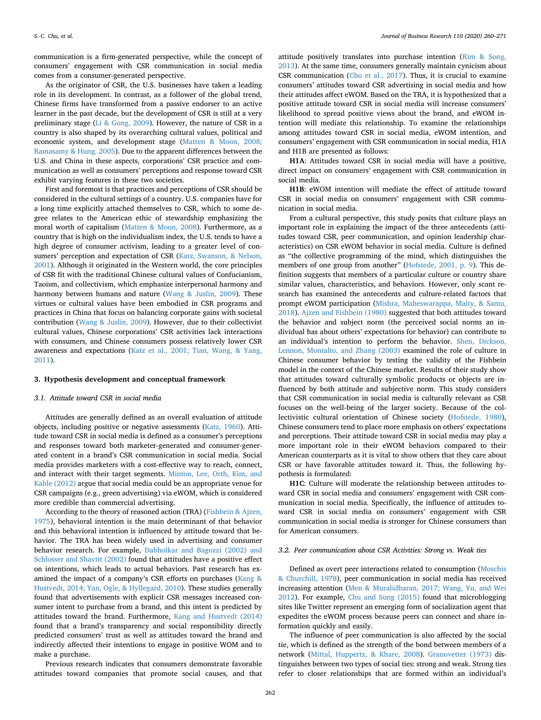communication is a firm-generated perspective, while the concept of consumers' engagement with CSR communication in social media comes from a consumer-generated perspective.

As the originator of CSR, the U.S. businesses have taken a leading role in its development. In contrast, as a follower of the global trend, Chinese firms have transformed from a passive endorser to an active learner in the past decade, but the development of CSR is still at a very preliminary stage [\(Li & Gong, 2009](#page-11-15)). However, the nature of CSR in a country is also shaped by its overarching cultural values, political and economic system, and development stage [\(Matten & Moon, 2008;](#page-11-16) [Ramasamy & Hung, 2005\)](#page-11-16). Due to the apparent differences between the U.S. and China in these aspects, corporations' CSR practice and communication as well as consumers' perceptions and response toward CSR exhibit varying features in these two societies.

First and foremost is that practices and perceptions of CSR should be considered in the cultural settings of a country. U.S. companies have for a long time explicitly attached themselves to CSR, which to some degree relates to the American ethic of stewardship emphasizing the moral worth of capitalism [\(Matten & Moon, 2008\)](#page-11-16). Furthermore, as a country that is high on the individualism index, the U.S. tends to have a high degree of consumer activism, leading to a greater level of consumers' perception and expectation of CSR [\(Katz, Swanson, & Nelson,](#page-11-17) [2001\)](#page-11-17). Although it originated in the Western world, the core principles of CSR fit with the traditional Chinese cultural values of Confucianism, Taoism, and collectivism, which emphasize interpersonal harmony and harmony between humans and nature ([Wang & Juslin, 2009\)](#page-11-18). These virtues or cultural values have been embodied in CSR programs and practices in China that focus on balancing corporate gains with societal contribution ([Wang & Juslin, 2009\)](#page-11-18). However, due to their collectivist cultural values, Chinese corporations' CSR activities lack interactions with consumers, and Chinese consumers possess relatively lower CSR awareness and expectations ([Katz et al., 2001; Tian, Wang, & Yang,](#page-11-17) [2011\)](#page-11-17).

## **3. Hypothesis development and conceptual framework**

## *3.1. Attitude toward CSR in social media*

Attitudes are generally defined as an overall evaluation of attitude objects, including positive or negative assessments ([Katz, 1960\)](#page-11-19). Attitude toward CSR in social media is defined as a consumer's perceptions and responses toward both marketer-generated and consumer-generated content in a brand's CSR communication in social media. Social media provides marketers with a cost-effective way to reach, connect, and interact with their target segments. [Minton, Lee, Orth, Kim, and](#page-11-20) [Kahle \(2012\)](#page-11-20) argue that social media could be an appropriate venue for CSR campaigns (e.g., green advertising) via eWOM, which is considered more credible than commercial advertising.

According to the theory of reasoned action (TRA) [\(Fishbein & Ajzen,](#page-10-14) [1975\)](#page-10-14), behavioral intention is the main determinant of that behavior and this behavioral intention is influenced by attitude toward that behavior. The TRA has been widely used in advertising and consumer behavior research. For example, [Dabholkar and Bagozzi \(2002\) and](#page-10-15) [Schlosser and Shavitt \(2002\)](#page-10-15) found that attitudes have a positive effect on intentions, which leads to actual behaviors. Past research has examined the impact of a company's CSR efforts on purchases [\(Kang &](#page-11-21) [Hustvedt, 2014; Yan, Ogle, & Hyllegard, 2010\)](#page-11-21). These studies generally found that advertisements with explicit CSR messages increased consumer intent to purchase from a brand, and this intent is predicted by attitudes toward the brand. Furthermore, [Kang and Hustvedt \(2014\)](#page-11-21) found that a brand's transparency and social responsibility directly predicted consumers' trust as well as attitudes toward the brand and indirectly affected their intentions to engage in positive WOM and to make a purchase.

Previous research indicates that consumers demonstrate favorable attitudes toward companies that promote social causes, and that

attitude positively translates into purchase intention [\(Rim & Song,](#page-11-11) [2013\)](#page-11-11). At the same time, consumers generally maintain cynicism about CSR communication ([Cho et al., 2017](#page-10-3)). Thus, it is crucial to examine consumers' attitudes toward CSR advertising in social media and how their attitudes affect eWOM. Based on the TRA, it is hypothesized that a positive attitude toward CSR in social media will increase consumers' likelihood to spread positive views about the brand, and eWOM intention will mediate this relationship. To examine the relationships among attitudes toward CSR in social media, eWOM intention, and consumers' engagement with CSR communication in social media, H1A and H1B are presented as follows:

**H1A**: Attitudes toward CSR in social media will have a positive, direct impact on consumers' engagement with CSR communication in social media.

**H1B**: eWOM intention will mediate the effect of attitude toward CSR in social media on consumers' engagement with CSR communication in social media.

From a cultural perspective, this study posits that culture plays an important role in explaining the impact of the three antecedents (attitudes toward CSR, peer communication, and opinion leadership characteristics) on CSR eWOM behavior in social media. Culture is defined as "the collective programming of the mind, which distinguishes the members of one group from another" [\(Hofstede, 2001, p. 9\)](#page-10-16). This definition suggests that members of a particular culture or country share similar values, characteristics, and behaviors. However, only scant research has examined the antecedents and culture-related factors that prompt eWOM participation ([Mishra, Maheswarappa, Maity, & Samu,](#page-11-22) [2018\)](#page-11-22). [Ajzen and Fishbein \(1980\)](#page-10-17) suggested that both attitudes toward the behavior and subject norm (the perceived social norms an individual has about others' expectations for behavior) can contribute to an individual's intention to perform the behavior. [Shen, Dickson,](#page-11-23) [Lennon, Montalto, and Zhang \(2003\)](#page-11-23) examined the role of culture in Chinese consumer behavior by testing the validity of the Fishbein model in the context of the Chinese market. Results of their study show that attitudes toward culturally symbolic products or objects are influenced by both attitude and subjective norm. This study considers that CSR communication in social media is culturally relevant as CSR focuses on the well-being of the larger society. Because of the collectivistic cultural orientation of Chinese society ([Hofstede, 1980](#page-10-18)), Chinese consumers tend to place more emphasis on others' expectations and perceptions. Their attitude toward CSR in social media may play a more important role in their eWOM behaviors compared to their American counterparts as it is vital to show others that they care about CSR or have favorable attitudes toward it. Thus, the following hypothesis is formulated:

**H1C**: Culture will moderate the relationship between attitudes toward CSR in social media and consumers' engagement with CSR communication in social media. Specifically, the influence of attitudes toward CSR in social media on consumers' engagement with CSR communication in social media is stronger for Chinese consumers than for American consumers.

## *3.2. Peer communication about CSR Activities: Strong vs. Weak ties*

Defined as overt peer interactions related to consumption [\(Moschis](#page-11-7) [& Churchill, 1978](#page-11-7)), peer communication in social media has received increasing attention ([Men & Muralidharan, 2017; Wang, Yu, and Wei](#page-11-8) [2012\)](#page-11-8). For example, [Chu and Sung \(2015\)](#page-10-19) found that microblogging sites like Twitter represent an emerging form of socialization agent that expedites the eWOM process because peers can connect and share information quickly and easily.

The influence of peer communication is also affected by the social tie, which is defined as the strength of the bond between members of a network [\(Mittal, Huppertz, & Khare, 2008](#page-11-24)). [Granovetter \(1973\)](#page-10-20) distinguishes between two types of social ties: strong and weak. Strong ties refer to closer relationships that are formed within an individual's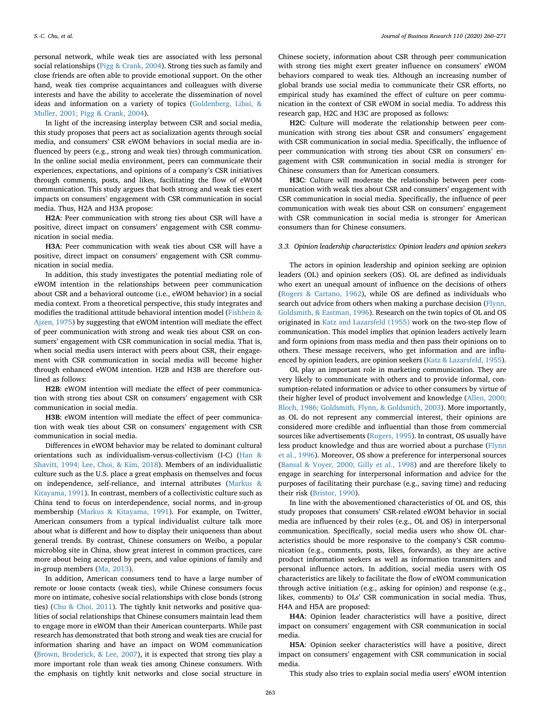personal network, while weak ties are associated with less personal social relationships ([Pigg & Crank, 2004\)](#page-11-25). Strong ties such as family and close friends are often able to provide emotional support. On the other hand, weak ties comprise acquaintances and colleagues with diverse interests and have the ability to accelerate the dissemination of novel ideas and information on a variety of topics [\(Goldenberg, Libai, &](#page-10-21) [Muller, 2001; Pigg & Crank, 2004\)](#page-10-21).

In light of the increasing interplay between CSR and social media, this study proposes that peers act as socialization agents through social media, and consumers' CSR eWOM behaviors in social media are influenced by peers (e.g., strong and weak ties) through communication. In the online social media environment, peers can communicate their experiences, expectations, and opinions of a company's CSR initiatives through comments, posts, and likes, facilitating the flow of eWOM communication. This study argues that both strong and weak ties exert impacts on consumers' engagement with CSR communication in social media. Thus, H2A and H3A propose:

**H2A**: Peer communication with strong ties about CSR will have a positive, direct impact on consumers' engagement with CSR communication in social media.

**H3A**: Peer communication with weak ties about CSR will have a positive, direct impact on consumers' engagement with CSR communication in social media.

In addition, this study investigates the potential mediating role of eWOM intention in the relationships between peer communication about CSR and a behavioral outcome (i.e., eWOM behavior) in a social media context. From a theoretical perspective, this study integrates and modifies the traditional attitude behavioral intention model [\(Fishbein &](#page-10-14) [Ajzen, 1975\)](#page-10-14) by suggesting that eWOM intention will mediate the effect of peer communication with strong and weak ties about CSR on consumers' engagement with CSR communication in social media. That is, when social media users interact with peers about CSR, their engagement with CSR communication in social media will become higher through enhanced eWOM intention. H2B and H3B are therefore outlined as follows:

**H2B**: eWOM intention will mediate the effect of peer communication with strong ties about CSR on consumers' engagement with CSR communication in social media.

**H3B**: eWOM intention will mediate the effect of peer communication with weak ties about CSR on consumers' engagement with CSR communication in social media.

Differences in eWOM behavior may be related to dominant cultural orientations such as individualism-versus-collectivism (I-C) ([Han &](#page-10-22) [Shavitt, 1994; Lee, Choi, & Kim, 2018](#page-10-22)). Members of an individualistic culture such as the U.S. place a great emphasis on themselves and focus on independence, self-reliance, and internal attributes ([Markus &](#page-11-26) [Kitayama, 1991](#page-11-26)). In contrast, members of a collectivistic culture such as China tend to focus on interdependence, social norms, and in-group membership [\(Markus & Kitayama, 1991](#page-11-26)). For example, on Twitter, American consumers from a typical individualist culture talk more about what is different and how to display their uniqueness than about general trends. By contrast, Chinese consumers on Weibo, a popular microblog site in China, show great interest in common practices, care more about being accepted by peers, and value opinions of family and in-group members [\(Ma, 2013\)](#page-11-27).

In addition, American consumers tend to have a large number of remote or loose contacts (weak ties), while Chinese consumers focus more on intimate, cohesive social relationships with close bonds (strong ties) ([Chu & Choi, 2011\)](#page-10-23). The tightly knit networks and positive qualities of social relationships that Chinese consumers maintain lead them to engage more in eWOM than their American counterparts. While past research has demonstrated that both strong and weak ties are crucial for information sharing and have an impact on WOM communication ([Brown, Broderick, & Lee, 2007](#page-10-24)), it is expected that strong ties play a more important role than weak ties among Chinese consumers. With the emphasis on tightly knit networks and close social structure in

Chinese society, information about CSR through peer communication with strong ties might exert greater influence on consumers' eWOM behaviors compared to weak ties. Although an increasing number of global brands use social media to communicate their CSR efforts, no empirical study has examined the effect of culture on peer communication in the context of CSR eWOM in social media. To address this research gap, H2C and H3C are proposed as follows:

**H2C**: Culture will moderate the relationship between peer communication with strong ties about CSR and consumers' engagement with CSR communication in social media. Specifically, the influence of peer communication with strong ties about CSR on consumers' engagement with CSR communication in social media is stronger for Chinese consumers than for American consumers.

**H3C**: Culture will moderate the relationship between peer communication with weak ties about CSR and consumers' engagement with CSR communication in social media. Specifically, the influence of peer communication with weak ties about CSR on consumers' engagement with CSR communication in social media is stronger for American consumers than for Chinese consumers.

## *3.3. Opinion leadership characteristics: Opinion leaders and opinion seekers*

The actors in opinion leadership and opinion seeking are opinion leaders (OL) and opinion seekers (OS). OL are defined as individuals who exert an unequal amount of influence on the decisions of others ([Rogers & Cartano, 1962](#page-11-28)), while OS are defined as individuals who search out advice from others when making a purchase decision [\(Flynn,](#page-10-25) [Goldsmith, & Eastman, 1996\)](#page-10-25). Research on the twin topics of OL and OS originated in [Katz and Lazarsfeld \(1955\)](#page-11-29) work on the two-step flow of communication. This model implies that opinion leaders actively learn and form opinions from mass media and then pass their opinions on to others. These message receivers, who get information and are influenced by opinion leaders, are opinion seekers ([Katz & Lazarsfeld, 1955](#page-11-29)).

OL play an important role in marketing communication. They are very likely to communicate with others and to provide informal, consumption-related information or advice to other consumers by virtue of their higher level of product involvement and knowledge [\(Allen, 2000;](#page-10-26) [Bloch, 1986; Goldsmith, Flynn, & Goldsmith, 2003\)](#page-10-26). More importantly, as OL do not represent any commercial interest, their opinions are considered more credible and influential than those from commercial sources like advertisements [\(Rogers, 1995](#page-11-30)). In contrast, OS usually have less product knowledge and thus are worried about a purchase ([Flynn](#page-10-25) [et al., 1996](#page-10-25)). Moreover, OS show a preference for interpersonal sources ([Bansal & Voyer, 2000; Gilly et al., 1998\)](#page-10-27) and are therefore likely to engage in searching for interpersonal information and advice for the purposes of facilitating their purchase (e.g., saving time) and reducing their risk ([Bristor, 1990](#page-10-28)).

In line with the abovementioned characteristics of OL and OS, this study proposes that consumers' CSR-related eWOM behavior in social media are influenced by their roles (e.g., OL and OS) in interpersonal communication. Specifically, social media users who show OL characteristics should be more responsive to the company's CSR communication (e.g., comments, posts, likes, forwards), as they are active product information seekers as well as information transmitters and personal influence actors. In addition, social media users with OS characteristics are likely to facilitate the flow of eWOM communication through active initiation (e.g., asking for opinion) and response (e.g., likes, comments) to OLs' CSR communication in social media. Thus, H4A and H5A are proposed:

**H4A**: Opinion leader characteristics will have a positive, direct impact on consumers' engagement with CSR communication in social media.

**H5A**: Opinion seeker characteristics will have a positive, direct impact on consumers' engagement with CSR communication in social media.

This study also tries to explain social media users' eWOM intention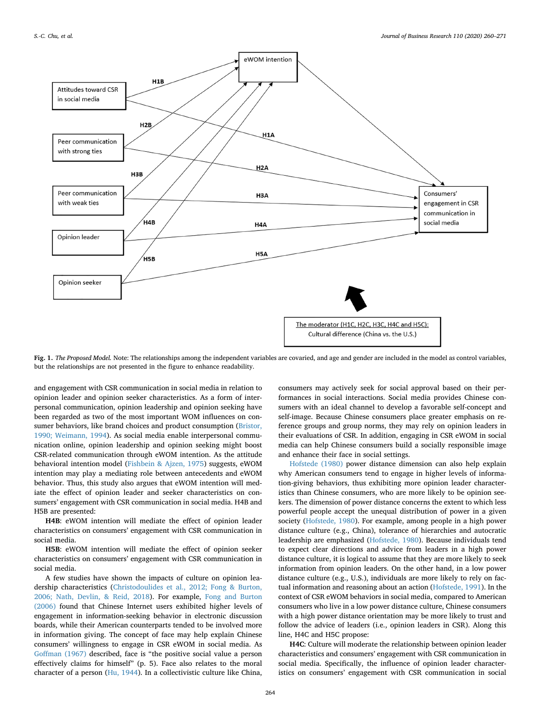<span id="page-4-0"></span>

**Fig. 1.** *The Proposed Model.* Note: The relationships among the independent variables are covaried, and age and gender are included in the model as control variables, but the relationships are not presented in the figure to enhance readability.

and engagement with CSR communication in social media in relation to opinion leader and opinion seeker characteristics. As a form of interpersonal communication, opinion leadership and opinion seeking have been regarded as two of the most important WOM influences on consumer behaviors, like brand choices and product consumption ([Bristor,](#page-10-28) [1990; Weimann, 1994](#page-10-28)). As social media enable interpersonal communication online, opinion leadership and opinion seeking might boost CSR-related communication through eWOM intention. As the attitude behavioral intention model ([Fishbein & Ajzen, 1975\)](#page-10-14) suggests, eWOM intention may play a mediating role between antecedents and eWOM behavior. Thus, this study also argues that eWOM intention will mediate the effect of opinion leader and seeker characteristics on consumers' engagement with CSR communication in social media. H4B and H5B are presented:

**H4B**: eWOM intention will mediate the effect of opinion leader characteristics on consumers' engagement with CSR communication in social media.

**H5B**: eWOM intention will mediate the effect of opinion seeker characteristics on consumers' engagement with CSR communication in social media.

A few studies have shown the impacts of culture on opinion leadership characteristics ([Christodoulides et al., 2012; Fong & Burton,](#page-10-4) [2006; Nath, Devlin, & Reid, 2018\)](#page-10-4). For example, [Fong and Burton](#page-10-29) [\(2006\)](#page-10-29) found that Chinese Internet users exhibited higher levels of engagement in information-seeking behavior in electronic discussion boards, while their American counterparts tended to be involved more in information giving. The concept of face may help explain Chinese consumers' willingness to engage in CSR eWOM in social media. As [Goffman \(1967\)](#page-10-30) described, face is "the positive social value a person effectively claims for himself" (p. 5). Face also relates to the moral character of a person ([Hu, 1944\)](#page-11-31). In a collectivistic culture like China,

consumers may actively seek for social approval based on their performances in social interactions. Social media provides Chinese consumers with an ideal channel to develop a favorable self-concept and self-image. Because Chinese consumers place greater emphasis on reference groups and group norms, they may rely on opinion leaders in their evaluations of CSR. In addition, engaging in CSR eWOM in social media can help Chinese consumers build a socially responsible image and enhance their face in social settings.

[Hofstede \(1980\)](#page-10-18) power distance dimension can also help explain why American consumers tend to engage in higher levels of information-giving behaviors, thus exhibiting more opinion leader characteristics than Chinese consumers, who are more likely to be opinion seekers. The dimension of power distance concerns the extent to which less powerful people accept the unequal distribution of power in a given society ([Hofstede, 1980\)](#page-10-18). For example, among people in a high power distance culture (e.g., China), tolerance of hierarchies and autocratic leadership are emphasized [\(Hofstede, 1980](#page-10-18)). Because individuals tend to expect clear directions and advice from leaders in a high power distance culture, it is logical to assume that they are more likely to seek information from opinion leaders. On the other hand, in a low power distance culture (e.g., U.S.), individuals are more likely to rely on factual information and reasoning about an action ([Hofstede, 1991](#page-10-31)). In the context of CSR eWOM behaviors in social media, compared to American consumers who live in a low power distance culture, Chinese consumers with a high power distance orientation may be more likely to trust and follow the advice of leaders (i.e., opinion leaders in CSR). Along this line, H4C and H5C propose:

**H4C**: Culture will moderate the relationship between opinion leader characteristics and consumers' engagement with CSR communication in social media. Specifically, the influence of opinion leader characteristics on consumers' engagement with CSR communication in social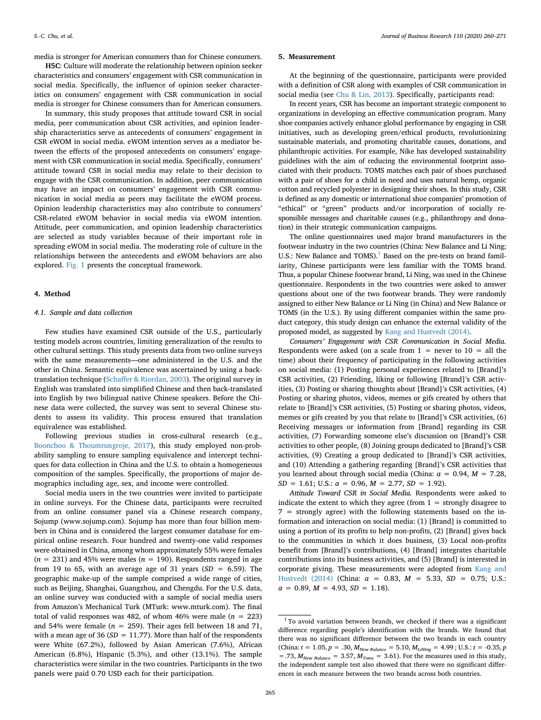media is stronger for American consumers than for Chinese consumers.

**H5C**: Culture will moderate the relationship between opinion seeker characteristics and consumers' engagement with CSR communication in social media. Specifically, the influence of opinion seeker characteristics on consumers' engagement with CSR communication in social media is stronger for Chinese consumers than for American consumers.

In summary, this study proposes that attitude toward CSR in social media, peer communication about CSR activities, and opinion leadership characteristics serve as antecedents of consumers' engagement in CSR eWOM in social media. eWOM intention serves as a mediator between the effects of the proposed antecedents on consumers' engagement with CSR communication in social media. Specifically, consumers' attitude toward CSR in social media may relate to their decision to engage with the CSR communication. In addition, peer communication may have an impact on consumers' engagement with CSR communication in social media as peers may facilitate the eWOM process. Opinion leadership characteristics may also contribute to consumers' CSR-related eWOM behavior in social media via eWOM intention. Attitude, peer communication, and opinion leadership characteristics are selected as study variables because of their important role in spreading eWOM in social media. The moderating role of culture in the relationships between the antecedents and eWOM behaviors are also explored. [Fig. 1](#page-4-0) presents the conceptual framework.

#### **4. Method**

### *4.1. Sample and data collection*

Few studies have examined CSR outside of the U.S., particularly testing models across countries, limiting generalization of the results to other cultural settings. This study presents data from two online surveys with the same measurements—one administered in the U.S. and the other in China. Semantic equivalence was ascertained by using a backtranslation technique [\(Schaffer & Riordan, 2003](#page-11-32)). The original survey in English was translated into simplified Chinese and then back-translated into English by two bilingual native Chinese speakers. Before the Chinese data were collected, the survey was sent to several Chinese students to assess its validity. This process ensured that translation equivalence was established.

Following previous studies in cross-cultural research (e.g., [Boonchoo & Thoumrungroje, 2017\)](#page-10-32), this study employed non-probability sampling to ensure sampling equivalence and intercept techniques for data collection in China and the U.S. to obtain a homogeneous composition of the samples. Specifically, the proportions of major demographics including age, sex, and income were controlled.

Social media users in the two countries were invited to participate in online surveys. For the Chinese data, participants were recruited from an online consumer panel via a Chinese research company, Sojump (www.sojump.com). Sojump has more than four billion members in China and is considered the largest consumer database for empirical online research. Four hundred and twenty-one valid responses were obtained in China, among whom approximately 55% were females  $(n = 231)$  and 45% were males  $(n = 190)$ . Respondents ranged in age from 19 to 65, with an average age of 31 years  $(SD = 6.59)$ . The geographic make-up of the sample comprised a wide range of cities, such as Beijing, Shanghai, Guangzhou, and Chengdu. For the U.S. data, an online survey was conducted with a sample of social media users from Amazon's Mechanical Turk (MTurk: www.mturk.com). The final total of valid responses was 482, of whom 46% were male  $(n = 223)$ and 54% were female  $(n = 259)$ . Their ages fell between 18 and 71, with a mean age of 36 ( $SD = 11.77$ ). More than half of the respondents were White (67.2%), followed by Asian American (7.6%), African American (6.8%), Hispanic (5.3%), and other (13.1%). The sample characteristics were similar in the two countries. Participants in the two panels were paid 0.70 USD each for their participation.

#### **5. Measurement**

At the beginning of the questionnaire, participants were provided with a definition of CSR along with examples of CSR communication in social media (see [Chu & Lin, 2013](#page-10-33)). Specifically, participants read:

In recent years, CSR has become an important strategic component to organizations in developing an effective communication program. Many shoe companies actively enhance global performance by engaging in CSR initiatives, such as developing green/ethical products, revolutionizing sustainable materials, and promoting charitable causes, donations, and philanthropic activities. For example, Nike has developed sustainability guidelines with the aim of reducing the environmental footprint associated with their products. TOMS matches each pair of shoes purchased with a pair of shoes for a child in need and uses natural hemp, organic cotton and recycled polyester in designing their shoes. In this study, CSR is defined as any domestic or international shoe companies' promotion of "ethical" or "green" products and/or incorporation of socially responsible messages and charitable causes (e.g., philanthropy and donation) in their strategic communication campaigns.

The online questionnaires used major brand manufacturers in the footwear industry in the two countries (China: New Balance and Li Ning; U.S.: New Balance and TOMS). $<sup>1</sup>$  Based on the pre-tests on brand famil-</sup> iarity, Chinese participants were less familiar with the TOMS brand. Thus, a popular Chinese footwear brand, Li Ning, was used in the Chinese questionnaire. Respondents in the two countries were asked to answer questions about one of the two footwear brands. They were randomly assigned to either New Balance or Li Ning (in China) and New Balance or TOMS (in the U.S.). By using different companies within the same product category, this study design can enhance the external validity of the proposed model, as suggested by [Kang and Hustvedt \(2014\)](#page-11-21).

*Consumers' Engagement with CSR Communication in Social Media.* Respondents were asked (on a scale from  $1 =$  never to  $10 =$  all the time) about their frequency of participating in the following activities on social media: (1) Posting personal experiences related to [Brand]'s CSR activities, (2) Friending, liking or following [Brand]'s CSR activities, (3) Posting or sharing thoughts about [Brand]'s CSR activities, (4) Posting or sharing photos, videos, memes or gifs created by others that relate to [Brand]'s CSR activities, (5) Posting or sharing photos, videos, memes or gifs created by you that relate to [Brand]'s CSR activities, (6) Receiving messages or information from [Brand] regarding its CSR activities, (7) Forwarding someone else's discussion on [Brand]'s CSR activities to other people, (8) Joining groups dedicated to [Brand]'s CSR activities, (9) Creating a group dedicated to [Brand]'s CSR activities, and (10) Attending a gathering regarding [Brand]'s CSR activities that you learned about through social media (China: *α* = 0.94, *M* = 7.28,  $SD = 1.61$ ; U.S.:  $\alpha = 0.96$ ,  $M = 2.77$ ,  $SD = 1.92$ ).

*Attitude Toward CSR in Social Media.* Respondents were asked to indicate the extent to which they agree (from  $1 =$  strongly disagree to 7 = strongly agree) with the following statements based on the information and interaction on social media: (1) [Brand] is committed to using a portion of its profits to help non-profits, (2) [Brand] gives back to the communities in which it does business, (3) Local non-profits benefit from [Brand]'s contributions, (4) [Brand] integrates charitable contributions into its business activities, and (5) [Brand] is interested in corporate giving. These measurements were adopted from [Kang and](#page-11-21) [Hustvedt \(2014\)](#page-11-21) (China: *α* = 0.83, *M* = 5.33, *SD* = 0.75; U.S.:  $\alpha = 0.89, M = 4.93, SD = 1.18.$ 

<span id="page-5-0"></span> $1$  To avoid variation between brands, we checked if there was a significant difference regarding people's identification with the brands. We found that there was no significant difference between the two brands in each country (China:  $t = 1.05$ ,  $p = .30$ ,  $M_{New \, Balance} = 5.10$ ,  $M_{LiNing} = 4.99$ ; U.S.:  $t = -0.35$ ,  $p$  $= .73$ ,  $M_{New \ Balance} = 3.57$ ,  $M_{Toms} = 3.61$ ). For the measures used in this study, the independent sample test also showed that there were no significant differences in each measure between the two brands across both countries.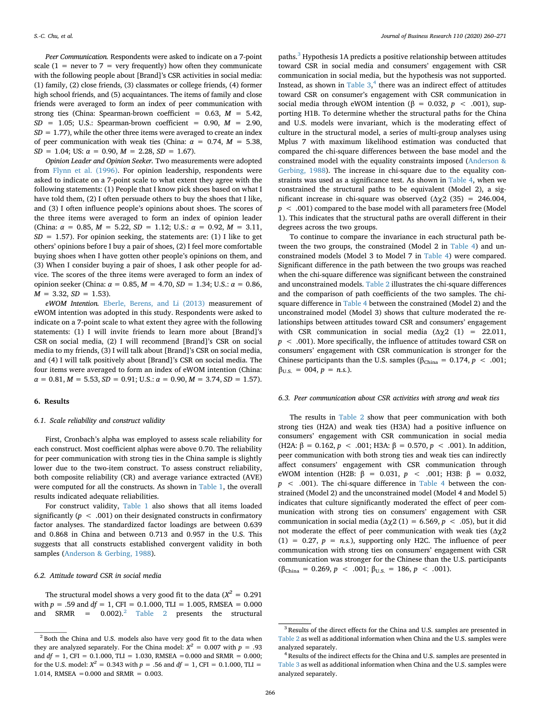*Peer Communication.* Respondents were asked to indicate on a 7-point scale (1 = never to 7 = very frequently) how often they communicate with the following people about [Brand]'s CSR activities in social media: (1) family, (2) close friends, (3) classmates or college friends, (4) former high school friends, and (5) acquaintances. The items of family and close friends were averaged to form an index of peer communication with strong ties (China: Spearman-brown coefficient = 0.63, *M* = 5.42, *SD* = 1.05; U.S.: Spearman-brown coefficient = 0.90, *M* = 2.90,  $SD = 1.77$ ), while the other three items were averaged to create an index of peer communication with weak ties (China:  $\alpha = 0.74$ ,  $M = 5.38$ , *SD* = 1.04; US:  $\alpha$  = 0.90,  $M$  = 2.28, *SD* = 1.67).

*Opinion Leader and Opinion Seeker.* Two measurements were adopted from [Flynn et al. \(1996\).](#page-10-25) For opinion leadership, respondents were asked to indicate on a 7-point scale to what extent they agree with the following statements: (1) People that I know pick shoes based on what I have told them, (2) I often persuade others to buy the shoes that I like, and (3) I often influence people's opinions about shoes. The scores of the three items were averaged to form an index of opinion leader (China:  $\alpha = 0.85$ ,  $M = 5.22$ ,  $SD = 1.12$ ; U.S.:  $\alpha = 0.92$ ,  $M = 3.11$ ,  $SD = 1.57$ ). For opinion seeking, the statements are: (1) I like to get others' opinions before I buy a pair of shoes, (2) I feel more comfortable buying shoes when I have gotten other people's opinions on them, and (3) When I consider buying a pair of shoes, I ask other people for advice. The scores of the three items were averaged to form an index of opinion seeker (China: *α* = 0.85, *M* = 4.70, *SD* = 1.34; U.S.: *α* = 0.86,  $M = 3.32, SD = 1.53$ .

*eWOM Intention.* [Eberle, Berens, and Li \(2013\)](#page-10-34) measurement of eWOM intention was adopted in this study. Respondents were asked to indicate on a 7-point scale to what extent they agree with the following statements: (1) I will invite friends to learn more about [Brand]'s CSR on social media, (2) I will recommend [Brand]'s CSR on social media to my friends, (3) I will talk about [Brand]'s CSR on social media, and (4) I will talk positively about [Brand]'s CSR on social media. The four items were averaged to form an index of eWOM intention (China:  $\alpha = 0.81, M = 5.53, SD = 0.91; U.S.: \alpha = 0.90, M = 3.74, SD = 1.57$ .

## **6. Results**

## *6.1. Scale reliability and construct validity*

First, Cronbach's alpha was employed to assess scale reliability for each construct. Most coefficient alphas were above 0.70. The reliability for peer communication with strong ties in the China sample is slightly lower due to the two-item construct. To assess construct reliability, both composite reliability (CR) and average variance extracted (AVE) were computed for all the constructs. As shown in [Table 1,](#page-7-0) the overall results indicated adequate reliabilities.

For construct validity, [Table 1](#page-7-0) also shows that all items loaded significantly (*p* < .001) on their designated constructs in confirmatory factor analyses. The standardized factor loadings are between 0.639 and 0.868 in China and between 0.713 and 0.957 in the U.S. This suggests that all constructs established convergent validity in both samples [\(Anderson & Gerbing, 1988](#page-10-35)).

#### *6.2. Attitude toward CSR in social media*

The structural model shows a very good fit to the data  $(X^2 = 0.291)$ with  $p = .59$  and  $df = 1$ , CFI = 0.1.000, TLI = 1.005, RMSEA = 0.000 and  $SRMR = 0.002$ .<sup>2</sup> [Table 2](#page-7-1) presents the structural

paths.<sup>[3](#page-6-1)</sup> Hypothesis 1A predicts a positive relationship between attitudes toward CSR in social media and consumers' engagement with CSR communication in social media, but the hypothesis was not supported. Instead, as shown in Table  $3<sup>4</sup>$  $3<sup>4</sup>$  $3<sup>4</sup>$ , there was an indirect effect of attitudes toward CSR on consumer's engagement with CSR communication in social media through eWOM intention (β = 0.032,  $p$  < .001), supporting H1B. To determine whether the structural paths for the China and U.S. models were invariant, which is the moderating effect of culture in the structural model, a series of multi-group analyses using Mplus 7 with maximum likelihood estimation was conducted that compared the chi-square differences between the base model and the constrained model with the equality constraints imposed ([Anderson &](#page-10-35) [Gerbing, 1988\)](#page-10-35). The increase in chi-square due to the equality constraints was used as a significance test. As shown in [Table 4,](#page-8-1) when we constrained the structural paths to be equivalent (Model 2), a significant increase in chi-square was observed ( $Δχ2$  (35) = 246.004, *p* < .001) compared to the base model with all parameters free (Model 1). This indicates that the structural paths are overall different in their degrees across the two groups.

To continue to compare the invariance in each structural path between the two groups, the constrained (Model 2 in [Table 4\)](#page-8-1) and unconstrained models (Model 3 to Model 7 in [Table 4](#page-8-1)) were compared. Significant difference in the path between the two groups was reached when the chi-square difference was significant between the constrained and unconstrained models. [Table 2](#page-7-1) illustrates the chi-square differences and the comparison of path coefficients of the two samples. The chisquare difference in [Table 4](#page-8-1) between the constrained (Model 2) and the unconstrained model (Model 3) shows that culture moderated the relationships between attitudes toward CSR and consumers' engagement with CSR communication in social media  $(\Delta \chi^2$  (1) = 22.011, *p* < .001). More specifically, the influence of attitudes toward CSR on consumers' engagement with CSR communication is stronger for the Chinese participants than the U.S. samples ( $\beta_{\text{China}} = 0.174$ ,  $p < .001$ ;  $\beta_{U.S.} = 004, p = n.s.).$ 

## *6.3. Peer communication about CSR activities with strong and weak ties*

The results in [Table 2](#page-7-1) show that peer communication with both strong ties (H2A) and weak ties (H3A) had a positive influence on consumers' engagement with CSR communication in social media (H2A:  $\beta = 0.162$ ,  $p < .001$ ; H3A:  $\beta = 0.570$ ,  $p < .001$ ). In addition, peer communication with both strong ties and weak ties can indirectly affect consumers' engagement with CSR communication through eWOM intention (H2B: β = 0.031, *p* < .001; H3B: β = 0.032, *p* < .001). The chi-square difference in [Table 4](#page-8-1) between the constrained (Model 2) and the unconstrained model (Model 4 and Model 5) indicates that culture significantly moderated the effect of peer communication with strong ties on consumers' engagement with CSR communication in social media ( $Δχ2(1) = 6.569, p < .05$ ), but it did not moderate the effect of peer communication with weak ties (Δχ2  $(1) = 0.27$ ,  $p = n.s$ .), supporting only H2C. The influence of peer communication with strong ties on consumers' engagement with CSR communication was stronger for the Chinese than the U.S. participants  $(\beta_{\text{China}} = 0.269, p < .001; \beta_{\text{U.S.}} = 186, p < .001).$ 

<span id="page-6-0"></span><sup>&</sup>lt;sup>2</sup> Both the China and U.S. models also have very good fit to the data when they are analyzed separately. For the China model:  $X^2 = 0.007$  with  $p = .93$ and *df* = 1, CFI = 0.1.000, TLI = 1.030, RMSEA =0.000 and SRMR = 0.000; for the U.S. model:  $X^2 = 0.343$  with  $p = .56$  and  $df = 1$ , CFI = 0.1.000, TLI = 1.014, RMSEA =0.000 and SRMR = 0.003.

<span id="page-6-1"></span><sup>&</sup>lt;sup>3</sup> Results of the direct effects for the China and U.S. samples are presented in [Table 2](#page-7-1) as well as additional information when China and the U.S. samples were analyzed separately.

<span id="page-6-2"></span><sup>&</sup>lt;sup>4</sup> Results of the indirect effects for the China and U.S. samples are presented in [Table 3](#page-8-0) as well as additional information when China and the U.S. samples were analyzed separately.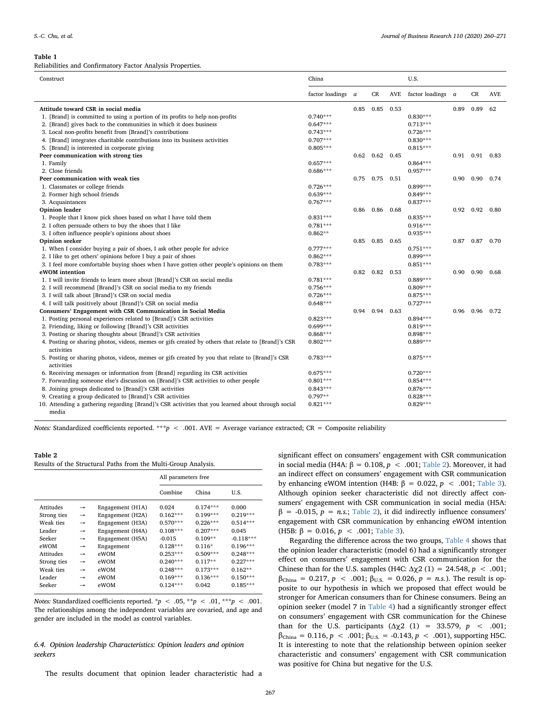#### <span id="page-7-0"></span>**Table 1**

Reliabilities and Confirmatory Factor Analysis Properties.

| Construct                                                                                                        | China           |          | U.S. |      |                 |          |             |            |
|------------------------------------------------------------------------------------------------------------------|-----------------|----------|------|------|-----------------|----------|-------------|------------|
|                                                                                                                  | factor loadings | $\alpha$ | CR   | AVE  | factor loadings | $\alpha$ | CR          | <b>AVE</b> |
| Attitude toward CSR in social media                                                                              |                 | 0.85     | 0.85 | 0.53 |                 | 0.89     | 0.89        | 62         |
| 1. [Brand] is committed to using a portion of its profits to help non-profits                                    | $0.740***$      |          |      |      | $0.830***$      |          |             |            |
| 2. [Brand] gives back to the communities in which it does business                                               | $0.647***$      |          |      |      | $0.713***$      |          |             |            |
| 3. Local non-profits benefit from [Brand]'s contributions                                                        | $0.743***$      |          |      |      | $0.726***$      |          |             |            |
| 4. [Brand] integrates charitable contributions into its business activities                                      | $0.707***$      |          |      |      | $0.830***$      |          |             |            |
| 5. [Brand] is interested in corporate giving                                                                     | $0.805***$      |          |      |      | $0.815***$      |          |             |            |
| Peer communication with strong ties                                                                              |                 | 0.62     | 0.62 | 0.45 |                 |          | $0.91$ 0.91 | 0.83       |
| 1. Family                                                                                                        | $0.657***$      |          |      |      | $0.864***$      |          |             |            |
| 2. Close friends                                                                                                 | $0.686***$      |          |      |      | $0.957***$      |          |             |            |
| Peer communication with weak ties                                                                                |                 | 0.75     | 0.75 | 0.51 |                 | 0.90     | 0.90        | 0.74       |
| 1. Classmates or college friends                                                                                 | $0.726***$      |          |      |      | $0.899***$      |          |             |            |
| 2. Former high school friends                                                                                    | $0.639***$      |          |      |      | $0.849***$      |          |             |            |
| 3. Acquaintances                                                                                                 | $0.767***$      |          |      |      | $0.837***$      |          |             |            |
| <b>Opinion</b> leader                                                                                            |                 | 0.86     | 0.86 | 0.68 |                 | 0.92     | 0.92        | 0.80       |
| 1. People that I know pick shoes based on what I have told them                                                  | $0.831***$      |          |      |      | $0.835***$      |          |             |            |
| 2. I often persuade others to buy the shoes that I like                                                          | $0.781***$      |          |      |      | $0.916***$      |          |             |            |
| 3. I often influence people's opinions about shoes                                                               | $0.862**$       |          |      |      | $0.935***$      |          |             |            |
| Opinion seeker                                                                                                   |                 | 0.85     | 0.85 | 0.65 |                 | 0.87     | 0.87        | 0.70       |
| 1. When I consider buying a pair of shoes, I ask other people for advice                                         | $0.777***$      |          |      |      | $0.751***$      |          |             |            |
| 2. I like to get others' opinions before I buy a pair of shoes                                                   | $0.862***$      |          |      |      | $0.899***$      |          |             |            |
| 3. I feel more comfortable buying shoes when I have gotten other people's opinions on them                       | $0.783***$      |          |      |      | $0.851***$      |          |             |            |
| eWOM intention                                                                                                   |                 | 0.82     | 0.82 | 0.53 |                 | 0.90     | 0.90        | 0.68       |
| 1. I will invite friends to learn more about [Brand]'s CSR on social media                                       | $0.781***$      |          |      |      | $0.889***$      |          |             |            |
| 2. I will recommend [Brand]'s CSR on social media to my friends                                                  | $0.756***$      |          |      |      | $0.809***$      |          |             |            |
| 3. I will talk about [Brand]'s CSR on social media                                                               | $0.726***$      |          |      |      | $0.875***$      |          |             |            |
| 4. I will talk positively about [Brand]'s CSR on social media                                                    | $0.648***$      |          |      |      | $0.727***$      |          |             |            |
| Consumers' Engagement with CSR Communication in Social Media                                                     |                 | 0.94     | 0.94 | 0.63 |                 | 0.96     | 0.96        | 0.72       |
| 1. Posting personal experiences related to [Brand]'s CSR activities                                              | $0.823***$      |          |      |      | $0.894***$      |          |             |            |
| 2. Friending, liking or following [Brand]'s CSR activities                                                       | $0.699***$      |          |      |      | $0.819***$      |          |             |            |
| 3. Posting or sharing thoughts about [Brand]'s CSR activities                                                    | $0.868***$      |          |      |      | $0.898***$      |          |             |            |
| 4. Posting or sharing photos, videos, memes or gifs created by others that relate to [Brand]'s CSR<br>activities | $0.802***$      |          |      |      | $0.889***$      |          |             |            |
| 5. Posting or sharing photos, videos, memes or gifs created by you that relate to [Brand]'s CSR<br>activities    | $0.783***$      |          |      |      | $0.875***$      |          |             |            |
| 6. Receiving messages or information from [Brand] regarding its CSR activities                                   | $0.675***$      |          |      |      | $0.720***$      |          |             |            |
| 7. Forwarding someone else's discussion on [Brand]'s CSR activities to other people                              | $0.801***$      |          |      |      | $0.854***$      |          |             |            |
| 8. Joining groups dedicated to [Brand]'s CSR activities                                                          | $0.843***$      |          |      |      | $0.876***$      |          |             |            |
| 9. Creating a group dedicated to [Brand]'s CSR activities                                                        | $0.797**$       |          |      |      | $0.828***$      |          |             |            |
| 10. Attending a gathering regarding [Brand]'s CSR activities that you learned about through social               | $0.821***$      |          |      |      | $0.829***$      |          |             |            |
| media                                                                                                            |                 |          |      |      |                 |          |             |            |

*Notes:* Standardized coefficients reported. \*\*\**p* < .001. AVE = Average variance extracted; CR = Composite reliability

## <span id="page-7-1"></span>**Table 2**

|               |                  | All parameters free |            |             |  |  |
|---------------|------------------|---------------------|------------|-------------|--|--|
|               |                  | Combine             | China      | U.S.        |  |  |
| $\rightarrow$ | Engagement (H1A) | 0.024               | $0.174***$ | 0.000       |  |  |
| →             | Engagement (H2A) | $0.162***$          | $0.199***$ | $0.219***$  |  |  |
| →             | Engagement (H3A) | $0.570***$          | $0.226***$ | $0.514***$  |  |  |
| $\rightarrow$ | Engagement (H4A) | $0.108***$          | $0.207***$ | 0.045       |  |  |
| $\rightarrow$ | Engagement (H5A) | $-0.015$            | $0.109**$  | $-0.118***$ |  |  |
| →             | Engagement       | $0.128***$          | $0.116*$   | $0.196***$  |  |  |
| →             | eWOM             | $0.253***$          | $0.509***$ | $0.248***$  |  |  |
| →             | eWOM             | $0.240***$          | $0.117**$  | $0.227***$  |  |  |
| →             | eWOM             | $0.248***$          | $0.173***$ | $0.162**$   |  |  |
| →             | eWOM             | $0.169***$          | $0.136***$ | $0.150***$  |  |  |
| →             | eWOM             | $0.124***$          | 0.042      | $0.185***$  |  |  |
|               |                  |                     |            |             |  |  |

*Notes:* Standardized coefficients reported.  $* p < .05, ** p < .01, ** p < .001$ . The relationships among the independent variables are covaried, and age and gender are included in the model as control variables.

# *6.4. Opinion leadership Characteristics: Opinion leaders and opinion seekers*

The results document that opinion leader characteristic had a

267

significant effect on consumers' engagement with CSR communication in social media (H4A:  $\beta = 0.108$ ,  $p < .001$ ; [Table 2\)](#page-7-1). Moreover, it had an indirect effect on consumers' engagement with CSR communication by enhancing eWOM intention (H4B:  $\beta = 0.022$ ,  $p < .001$ ; [Table 3](#page-8-0)). Although opinion seeker characteristic did not directly affect consumers' engagement with CSR communication in social media (H5A:  $β = -0.015, p = n.s.;$  [Table 2](#page-7-1)), it did indirectly influence consumers' engagement with CSR communication by enhancing eWOM intention (H5B:  $\beta = 0.016$ ,  $p < .001$ ; [Table 3](#page-8-0)).

Regarding the difference across the two groups, [Table 4](#page-8-1) shows that the opinion leader characteristic (model 6) had a significantly stronger effect on consumers' engagement with CSR communication for the Chinese than for the U.S. samples (H4C:  $Δχ2(1) = 24.548, p < .001;$  $β<sub>China</sub> = 0.217, p < .001; β<sub>U.S.</sub> = 0.026, p = n.s.).$  The result is opposite to our hypothesis in which we proposed that effect would be stronger for American consumers than for Chinese consumers. Being an opinion seeker (model 7 in [Table 4](#page-8-1)) had a significantly stronger effect on consumers' engagement with CSR communication for the Chinese than for the U.S. participants ( $Δχ2$  (1) = 33.579, *p* < .001;  $β<sub>China</sub> = 0.116, p < .001; β<sub>U.S.</sub> = -0.143, p < .001$ , supporting H5C. It is interesting to note that the relationship between opinion seeker characteristic and consumers' engagement with CSR communication was positive for China but negative for the U.S.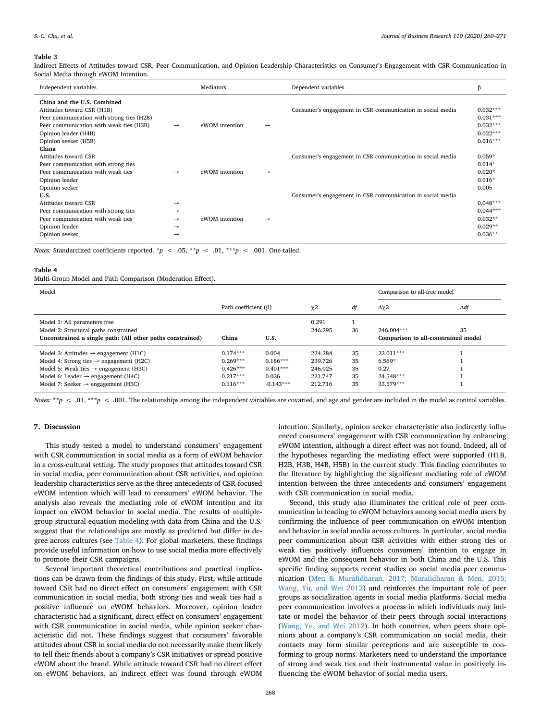#### <span id="page-8-0"></span>**Table 3**

Indirect Effects of Attitudes toward CSR, Peer Communication, and Opinion Leadership Characteristics on Consumer's Engagement with CSR Communication in Social Media through eWOM Intention.

| Independent variables                                                                                                                                                                             |                                                           | Mediators      |               | Dependent variables                                        | β                                                                  |
|---------------------------------------------------------------------------------------------------------------------------------------------------------------------------------------------------|-----------------------------------------------------------|----------------|---------------|------------------------------------------------------------|--------------------------------------------------------------------|
| China and the U.S. Combined<br>Attitudes toward CSR (H1B)<br>Peer communication with strong ties (H2B)<br>Peer communication with weak ties (H3B)<br>Opinion leader (H4B)<br>Opinion seeker (H5B) | $\rightarrow$                                             | eWOM intention | $\rightarrow$ | Consumer's engagement in CSR communication in social media | $0.032***$<br>$0.031***$<br>$0.032***$<br>$0.022***$<br>$0.016***$ |
| China<br>Attitudes toward CSR<br>Peer communication with strong ties<br>Peer communication with weak ties<br>Opinion leader<br>Opinion seeker                                                     | $\rightarrow$                                             | eWOM intention | →             | Consumer's engagement in CSR communication in social media | $0.059*$<br>$0.014*$<br>$0.020*$<br>$0.016*$<br>0.005              |
| U.S.<br>Attitudes toward CSR<br>Peer communication with strong ties<br>Peer communication with weak ties<br>Opinion leader<br>Opinion seeker                                                      | $\rightarrow$<br>$\rightarrow$<br>$\rightarrow$<br>→<br>→ | eWOM intention | →             | Consumer's engagement in CSR communication in social media | $0.048***$<br>$0.044***$<br>$0.032**$<br>$0.029**$<br>$0.036**$    |

*Notes:* Standardized coefficients reported. \*p < .05, \*\*p < .01, \*\*\*p < .001. One-tailed.

#### <span id="page-8-1"></span>**Table 4**

Multi-Group Model and Path Comparison (Moderation Effect).

| Model                                                      | Comparison to all-free model |             |         |    |                                     |    |     |     |
|------------------------------------------------------------|------------------------------|-------------|---------|----|-------------------------------------|----|-----|-----|
|                                                            | Path coefficient $(\beta)$   |             |         |    | $\chi$ <sup>2</sup>                 | df | Δχ2 | Δdf |
| Model 1: All parameters free                               |                              |             | 0.291   |    |                                     |    |     |     |
| Model 2: Structural paths constrained                      |                              |             | 246.295 | 36 | $246.004***$                        | 35 |     |     |
| Unconstrained a single path: (All other paths constrained) | China                        | U.S.        |         |    | Comparison to all-constrained model |    |     |     |
| Model 3: Attitudes $\rightarrow$ engagement (H1C)          | $0.174***$                   | 0.004       | 224.284 | 35 | 22.011***                           |    |     |     |
| Model 4: Strong ties $\rightarrow$ engagement (H2C)        | $0.269***$                   | $0.186***$  | 239.726 | 35 | $6.569*$                            |    |     |     |
| Model 5: Weak ties $\rightarrow$ engagement (H3C)          | $0.426***$                   | $0.401***$  | 246.025 | 35 | 0.27                                |    |     |     |
| Model 6: Leader $\rightarrow$ engagement (H4C)             | $0.217***$                   | 0.026       | 221.747 | 35 | 24.548***                           |    |     |     |
| Model 7: Seeker $\rightarrow$ engagement (H5C)             | $0.116***$                   | $-0.143***$ | 212.716 | 35 | 33.579***                           |    |     |     |

*Notes:* \*\**p* < .01, \*\**p* < .001. The relationships among the independent variables are covaried, and age and gender are included in the model as control variables.

### **7. Discussion**

This study tested a model to understand consumers' engagement with CSR communication in social media as a form of eWOM behavior in a cross-cultural setting. The study proposes that attitudes toward CSR in social media, peer communication about CSR activities, and opinion leadership characteristics serve as the three antecedents of CSR-focused eWOM intention which will lead to consumers' eWOM behavior. The analysis also reveals the mediating role of eWOM intention and its impact on eWOM behavior in social media. The results of multiplegroup structural equation modeling with data from China and the U.S. suggest that the relationships are mostly as predicted but differ in degree across cultures (see [Table 4](#page-8-1)). For global marketers, these findings provide useful information on how to use social media more effectively to promote their CSR campaigns.

Several important theoretical contributions and practical implications can be drawn from the findings of this study. First, while attitude toward CSR had no direct effect on consumers' engagement with CSR communication in social media, both strong ties and weak ties had a positive influence on eWOM behaviors. Moreover, opinion leader characteristic had a significant, direct effect on consumers' engagement with CSR communication in social media, while opinion seeker characteristic did not. These findings suggest that consumers' favorable attitudes about CSR in social media do not necessarily make them likely to tell their friends about a company's CSR initiatives or spread positive eWOM about the brand. While attitude toward CSR had no direct effect on eWOM behaviors, an indirect effect was found through eWOM

intention. Similarly, opinion seeker characteristic also indirectly influenced consumers' engagement with CSR communication by enhancing eWOM intention, although a direct effect was not found. Indeed, all of the hypotheses regarding the mediating effect were supported (H1B, H2B, H3B, H4B, H5B) in the current study. This finding contributes to the literature by highlighting the significant mediating role of eWOM intention between the three antecedents and consumers' engagement with CSR communication in social media.

Second, this study also illuminates the critical role of peer communication in leading to eWOM behaviors among social media users by confirming the influence of peer communication on eWOM intention and behavior in social media across cultures. In particular, social media peer communication about CSR activities with either strong ties or weak ties positively influences consumers' intention to engage in eWOM and the consequent behavior in both China and the U.S. This specific finding supports recent studies on social media peer communication ([Men & Muralidharan, 2017; Muralidharan & Men, 2015;](#page-11-8) [Wang, Yu, and Wei 2012\)](#page-11-8) and reinforces the important role of peer groups as socialization agents in social media platforms. Social media peer communication involves a process in which individuals may imitate or model the behavior of their peers through social interactions ([Wang, Yu, and Wei 2012](#page-11-33)). In both countries, when peers share opinions about a company's CSR communication on social media, their contacts may form similar perceptions and are susceptible to conforming to group norms. Marketers need to understand the importance of strong and weak ties and their instrumental value in positively influencing the eWOM behavior of social media users.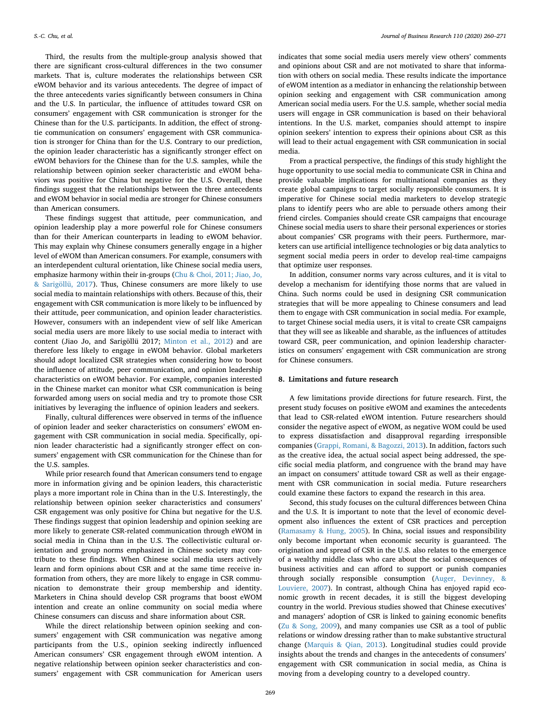Third, the results from the multiple-group analysis showed that there are significant cross-cultural differences in the two consumer markets. That is, culture moderates the relationships between CSR eWOM behavior and its various antecedents. The degree of impact of the three antecedents varies significantly between consumers in China and the U.S. In particular, the influence of attitudes toward CSR on consumers' engagement with CSR communication is stronger for the Chinese than for the U.S. participants. In addition, the effect of strongtie communication on consumers' engagement with CSR communication is stronger for China than for the U.S. Contrary to our prediction, the opinion leader characteristic has a significantly stronger effect on eWOM behaviors for the Chinese than for the U.S. samples, while the relationship between opinion seeker characteristic and eWOM behaviors was positive for China but negative for the U.S. Overall, these findings suggest that the relationships between the three antecedents and eWOM behavior in social media are stronger for Chinese consumers than American consumers.

These findings suggest that attitude, peer communication, and opinion leadership play a more powerful role for Chinese consumers than for their American counterparts in leading to eWOM behavior. This may explain why Chinese consumers generally engage in a higher level of eWOM than American consumers. For example, consumers with an interdependent cultural orientation, like Chinese social media users, emphasize harmony within their in-groups [\(Chu & Choi, 2011; Jiao, Jo,](#page-10-23) [& Sarigöllü, 2017](#page-10-23)). Thus, Chinese consumers are more likely to use social media to maintain relationships with others. Because of this, their engagement with CSR communication is more likely to be influenced by their attitude, peer communication, and opinion leader characteristics. However, consumers with an independent view of self like American social media users are more likely to use social media to interact with content (Jiao Jo, and Sarigöllü 2017; [Minton et al., 2012\)](#page-11-20) and are therefore less likely to engage in eWOM behavior. Global marketers should adopt localized CSR strategies when considering how to boost the influence of attitude, peer communication, and opinion leadership characteristics on eWOM behavior. For example, companies interested in the Chinese market can monitor what CSR communication is being forwarded among users on social media and try to promote those CSR initiatives by leveraging the influence of opinion leaders and seekers.

Finally, cultural differences were observed in terms of the influence of opinion leader and seeker characteristics on consumers' eWOM engagement with CSR communication in social media. Specifically, opinion leader characteristic had a significantly stronger effect on consumers' engagement with CSR communication for the Chinese than for the U.S. samples.

While prior research found that American consumers tend to engage more in information giving and be opinion leaders, this characteristic plays a more important role in China than in the U.S. Interestingly, the relationship between opinion seeker characteristics and consumers' CSR engagement was only positive for China but negative for the U.S. These findings suggest that opinion leadership and opinion seeking are more likely to generate CSR-related communication through eWOM in social media in China than in the U.S. The collectivistic cultural orientation and group norms emphasized in Chinese society may contribute to these findings. When Chinese social media users actively learn and form opinions about CSR and at the same time receive information from others, they are more likely to engage in CSR communication to demonstrate their group membership and identity. Marketers in China should develop CSR programs that boost eWOM intention and create an online community on social media where Chinese consumers can discuss and share information about CSR.

While the direct relationship between opinion seeking and consumers' engagement with CSR communication was negative among participants from the U.S., opinion seeking indirectly influenced American consumers' CSR engagement through eWOM intention. A negative relationship between opinion seeker characteristics and consumers' engagement with CSR communication for American users indicates that some social media users merely view others' comments and opinions about CSR and are not motivated to share that information with others on social media. These results indicate the importance of eWOM intention as a mediator in enhancing the relationship between opinion seeking and engagement with CSR communication among American social media users. For the U.S. sample, whether social media users will engage in CSR communication is based on their behavioral intentions. In the U.S. market, companies should attempt to inspire opinion seekers' intention to express their opinions about CSR as this will lead to their actual engagement with CSR communication in social media.

From a practical perspective, the findings of this study highlight the huge opportunity to use social media to communicate CSR in China and provide valuable implications for multinational companies as they create global campaigns to target socially responsible consumers. It is imperative for Chinese social media marketers to develop strategic plans to identify peers who are able to persuade others among their friend circles. Companies should create CSR campaigns that encourage Chinese social media users to share their personal experiences or stories about companies' CSR programs with their peers. Furthermore, marketers can use artificial intelligence technologies or big data analytics to segment social media peers in order to develop real-time campaigns that optimize user responses.

In addition, consumer norms vary across cultures, and it is vital to develop a mechanism for identifying those norms that are valued in China. Such norms could be used in designing CSR communication strategies that will be more appealing to Chinese consumers and lead them to engage with CSR communication in social media. For example, to target Chinese social media users, it is vital to create CSR campaigns that they will see as likeable and sharable, as the influences of attitudes toward CSR, peer communication, and opinion leadership characteristics on consumers' engagement with CSR communication are strong for Chinese consumers.

# **8. Limitations and future research**

A few limitations provide directions for future research. First, the present study focuses on positive eWOM and examines the antecedents that lead to CSR-related eWOM intention. Future researchers should consider the negative aspect of eWOM, as negative WOM could be used to express dissatisfaction and disapproval regarding irresponsible companies ([Grappi, Romani, & Bagozzi, 2013\)](#page-10-36). In addition, factors such as the creative idea, the actual social aspect being addressed, the specific social media platform, and congruence with the brand may have an impact on consumers' attitude toward CSR as well as their engagement with CSR communication in social media. Future researchers could examine these factors to expand the research in this area.

Second, this study focuses on the cultural differences between China and the U.S. It is important to note that the level of economic development also influences the extent of CSR practices and perception ([Ramasamy & Hung, 2005](#page-11-34)). In China, social issues and responsibility only become important when economic security is guaranteed. The origination and spread of CSR in the U.S. also relates to the emergence of a wealthy middle class who care about the social consequences of business activities and can afford to support or punish companies through socially responsible consumption ([Auger, Devinney, &](#page-10-37) [Louviere, 2007](#page-10-37)). In contrast, although China has enjoyed rapid economic growth in recent decades, it is still the biggest developing country in the world. Previous studies showed that Chinese executives' and managers' adoption of CSR is linked to gaining economic benefits ([Zu & Song, 2009](#page-11-35)), and many companies use CSR as a tool of public relations or window dressing rather than to make substantive structural change [\(Marquis & Qian, 2013](#page-11-36)). Longitudinal studies could provide insights about the trends and changes in the antecedents of consumers' engagement with CSR communication in social media, as China is moving from a developing country to a developed country.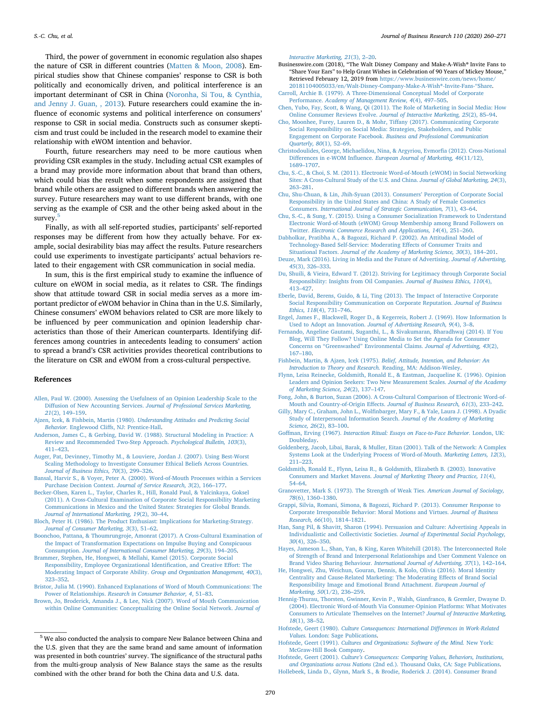Third, the power of government in economic regulation also shapes the nature of CSR in different countries ([Matten & Moon, 2008](#page-11-16)). Empirical studies show that Chinese companies' response to CSR is both politically and economically driven, and political interference is an important determinant of CSR in China ([Noronha, Si Tou, & Cynthia,](#page-11-37) [and Jenny J. Guan, , 2013](#page-11-37)). Future researchers could examine the influence of economic systems and political interference on consumers' response to CSR in social media. Constructs such as consumer skepticism and trust could be included in the research model to examine their relationship with eWOM intention and behavior.

Fourth, future researchers may need to be more cautious when providing CSR examples in the study. Including actual CSR examples of a brand may provide more information about that brand than others, which could bias the result when some respondents are assigned that brand while others are assigned to different brands when answering the survey. Future researchers may want to use different brands, with one serving as the example of CSR and the other being asked about in the survey.<sup>[5](#page-10-38)</sup>

Finally, as with all self-reported studies, participants' self-reported responses may be different from how they actually behave. For example, social desirability bias may affect the results. Future researchers could use experiments to investigate participants' actual behaviors related to their engagement with CSR communication in social media.

In sum, this is the first empirical study to examine the influence of culture on eWOM in social media, as it relates to CSR. The findings show that attitude toward CSR in social media serves as a more important predictor of eWOM behavior in China than in the U.S. Similarly, Chinese consumers' eWOM behaviors related to CSR are more likely to be influenced by peer communication and opinion leadership characteristics than those of their American counterparts. Identifying differences among countries in antecedents leading to consumers' action to spread a brand's CSR activities provides theoretical contributions to the literature on CSR and eWOM from a cross-cultural perspective.

#### **References**

- <span id="page-10-26"></span>[Allen, Paul W. \(2000\). Assessing the Usefulness of an Opinion Leadership Scale to the](http://refhub.elsevier.com/S0148-2963(20)30049-7/h0005) Diffusion of New Accounting Services. *[Journal of Professional Services Marketing,](http://refhub.elsevier.com/S0148-2963(20)30049-7/h0005) 21*[\(2\), 149–159.](http://refhub.elsevier.com/S0148-2963(20)30049-7/h0005)
- <span id="page-10-17"></span>Ajzen, Icek, & Fishbein, Martin (1980). *[Understanding Attitudes and Predicting Social](http://refhub.elsevier.com/S0148-2963(20)30049-7/h0010) Behavior.* [Englewood Cliffs, NJ: Prentice-Hall](http://refhub.elsevier.com/S0148-2963(20)30049-7/h0010).
- <span id="page-10-35"></span>[Anderson, James C., & Gerbing, David W. \(1988\). Structural Modeling in Practice: A](http://refhub.elsevier.com/S0148-2963(20)30049-7/h0015) [Review and Recommended Two-Step Approach.](http://refhub.elsevier.com/S0148-2963(20)30049-7/h0015) *Psychological Bulletin, 103*(3), [411–423](http://refhub.elsevier.com/S0148-2963(20)30049-7/h0015).
- <span id="page-10-37"></span>[Auger, Pat, Devinney, Timothy M., & Louviere, Jordan J. \(2007\). Using Best-Worst](http://refhub.elsevier.com/S0148-2963(20)30049-7/h0020) [Scaling Methodology to Investigate Consumer Ethical Beliefs Across Countries.](http://refhub.elsevier.com/S0148-2963(20)30049-7/h0020) *[Journal of Business Ethics, 70](http://refhub.elsevier.com/S0148-2963(20)30049-7/h0020)*(3), 299–326.
- <span id="page-10-27"></span>[Bansal, Harvir S., & Voyer, Peter A. \(2000\). Word-of-Mouth Processes within a Services](http://refhub.elsevier.com/S0148-2963(20)30049-7/h0025) Purchase Decision Context. *[Journal of Service Research, 3](http://refhub.elsevier.com/S0148-2963(20)30049-7/h0025)*(2), 166–177.
- <span id="page-10-5"></span>[Becker-Olsen, Karen L., Taylor, Charles R., Hill, Ronald Paul, & Yalcinkaya, Goksel](http://refhub.elsevier.com/S0148-2963(20)30049-7/h0030) [\(2011\). A Cross-Cultural Examination of Corporate Social Responsibility Marketing](http://refhub.elsevier.com/S0148-2963(20)30049-7/h0030) [Communications in Mexico and the United States: Strategies for Global Brands.](http://refhub.elsevier.com/S0148-2963(20)30049-7/h0030) *[Journal of International Marketing, 19](http://refhub.elsevier.com/S0148-2963(20)30049-7/h0030)*(2), 30–44.
- [Bloch, Peter H. \(1986\). The Product Enthusiast: Implications for Marketing-Strategy.](http://refhub.elsevier.com/S0148-2963(20)30049-7/h0035) *[Journal of Consumer Marketing, 3](http://refhub.elsevier.com/S0148-2963(20)30049-7/h0035)*(3), 51–62.
- <span id="page-10-32"></span>[Boonchoo, Pattana, & Thoumrungroje, Amonrat \(2017\). A Cross-Cultural Examination of](http://refhub.elsevier.com/S0148-2963(20)30049-7/h0040) [the Impact of Transformation Expectations on Impulse Buying and Conspicuous](http://refhub.elsevier.com/S0148-2963(20)30049-7/h0040) Consumption. *[Journal of International Consumer Marketing, 29](http://refhub.elsevier.com/S0148-2963(20)30049-7/h0040)*(3), 194–205.
- <span id="page-10-12"></span>[Brammer, Stephen, He, Hongwei, & Mellahi, Kamel \(2015\). Corporate Social](http://refhub.elsevier.com/S0148-2963(20)30049-7/h0045) [Responsibility, Employee Organizational Identification, and Creative Effort: The](http://refhub.elsevier.com/S0148-2963(20)30049-7/h0045) [Moderating Impact of Corporate Ability.](http://refhub.elsevier.com/S0148-2963(20)30049-7/h0045) *Group and Organization Management, 40*(3), [323–352](http://refhub.elsevier.com/S0148-2963(20)30049-7/h0045).
- <span id="page-10-28"></span>[Bristor, Julia M. \(1990\). Enhanced Explanations of Word of Mouth Communications: The](http://refhub.elsevier.com/S0148-2963(20)30049-7/h0050) Power of Relationships. *[Research in Consumer Behavior, 4](http://refhub.elsevier.com/S0148-2963(20)30049-7/h0050)*, 51–83.
- <span id="page-10-38"></span><span id="page-10-24"></span>[Brown, Jo, Broderick, Amanda J., & Lee, Nick \(2007\). Word of Mouth Communication](http://refhub.elsevier.com/S0148-2963(20)30049-7/h0055) [within Online Communities: Conceptualizing the Online Social Network.](http://refhub.elsevier.com/S0148-2963(20)30049-7/h0055) *Journal of*
- <span id="page-10-0"></span>Businesswire.com (2018), "The Walt Disney Company and Make-A-Wish® Invite Fans to "Share Your Ears" to Help Grant Wishes in Celebration of 90 Years of Mickey Mouse," Retrieved February 12, 2019 from [https://www.businesswire.com/news/home/](https://www.businesswire.com/news/home/20181104005033/en/Walt-Disney-Company-Make-A-Wish%c2%ae-Invite-Fans-%26ldquo%3bShare) [20181104005033/en/Walt-Disney-Company-Make-A-Wish](https://www.businesswire.com/news/home/20181104005033/en/Walt-Disney-Company-Make-A-Wish%c2%ae-Invite-Fans-%26ldquo%3bShare)®-Invite-Fans-"Share.
- <span id="page-10-13"></span>[Carroll, Archie B. \(1979\). A Three-Dimensional Conceptual Model of Corporate](http://refhub.elsevier.com/S0148-2963(20)30049-7/h0065) Performance. *[Academy of Management Review, 4](http://refhub.elsevier.com/S0148-2963(20)30049-7/h0065)*(4), 497–505.
- <span id="page-10-1"></span>[Chen, Yubo, Fay, Scott, & Wang, Qi \(2011\). The Role of Marketing in Social Media: How](http://refhub.elsevier.com/S0148-2963(20)30049-7/h0070) Online Consumer Reviews Evolve. *[Journal of Interactive Marketing, 25](http://refhub.elsevier.com/S0148-2963(20)30049-7/h0070)*(2), 85–94.
- <span id="page-10-3"></span>[Cho, Moonhee, Furey, Lauren D., & Mohr, Tiffany \(2017\). Communicating Corporate](http://refhub.elsevier.com/S0148-2963(20)30049-7/h0075) [Social Responsibility on Social Media: Strategies, Stakeholders, and Public](http://refhub.elsevier.com/S0148-2963(20)30049-7/h0075) Engagement on Corporate Facebook. *[Business and Professional Communication](http://refhub.elsevier.com/S0148-2963(20)30049-7/h0075) [Quarterly, 80](http://refhub.elsevier.com/S0148-2963(20)30049-7/h0075)*(1), 52–69.
- <span id="page-10-4"></span>[Christodoulides, George, Michaelidou, Nina, & Argyriou, Evmorfia \(2012\). Cross-National](http://refhub.elsevier.com/S0148-2963(20)30049-7/h0080) Differences in e-WOM Influence. *[European Journal of Marketing, 46](http://refhub.elsevier.com/S0148-2963(20)30049-7/h0080)*(11/12), [1689–1707](http://refhub.elsevier.com/S0148-2963(20)30049-7/h0080).
- <span id="page-10-23"></span>[Chu, S.-C., & Choi, S. M. \(2011\). Electronic Word-of-Mouth \(eWOM\) in Social Networking](http://refhub.elsevier.com/S0148-2963(20)30049-7/h0090) [Sites: A Cross-Cultural Study of the U.S. and China.](http://refhub.elsevier.com/S0148-2963(20)30049-7/h0090) *Journal of Global Marketing, 24*(3), [263–281](http://refhub.elsevier.com/S0148-2963(20)30049-7/h0090).
- <span id="page-10-33"></span>[Chu, Shu-Chuan, & Lin, Jhih-Syuan \(2013\). Consumers' Perception of Corporate Social](http://refhub.elsevier.com/S0148-2963(20)30049-7/h0085) [Responsibility in the United States and China: A Study of Female Cosmetics](http://refhub.elsevier.com/S0148-2963(20)30049-7/h0085) Consumers. *[International Journal of Strategic Communication, 7](http://refhub.elsevier.com/S0148-2963(20)30049-7/h0085)*(1), 43–64.
- <span id="page-10-19"></span>[Chu, S.-C., & Sung, Y. \(2015\). Using a Consumer Socialization Framework to Understand](http://refhub.elsevier.com/S0148-2963(20)30049-7/h0095) [Electronic Word-of-Mouth \(eWOM\) Group Membership among Brand Followers on](http://refhub.elsevier.com/S0148-2963(20)30049-7/h0095) Twitter. *[Electronic Commerce Research and Applications, 14](http://refhub.elsevier.com/S0148-2963(20)30049-7/h0095)*(4), 251–260.
- <span id="page-10-15"></span>[Dabholkar, Pratibha A., & Bagozzi, Richard P. \(2002\). An Attitudinal Model of](http://refhub.elsevier.com/S0148-2963(20)30049-7/h0100) [Technology-Based Self-Service: Moderating Effects of Consumer Traits and](http://refhub.elsevier.com/S0148-2963(20)30049-7/h0100) Situational Factors. *[Journal of the Academy of Marketing Science, 30](http://refhub.elsevier.com/S0148-2963(20)30049-7/h0100)*(3), 184–201.
- <span id="page-10-11"></span>[Deuze, Mark \(2016\). Living in Media and the Future of Advertising.](http://refhub.elsevier.com/S0148-2963(20)30049-7/h0105) *Journal of Advertising, 45*[\(3\), 326–333.](http://refhub.elsevier.com/S0148-2963(20)30049-7/h0105)
- <span id="page-10-2"></span>[Du, Shuili, & Vieira, Edward T. \(2012\). Striving for Legitimacy through Corporate Social](http://refhub.elsevier.com/S0148-2963(20)30049-7/h0110) [Responsibility: Insights from Oil Companies.](http://refhub.elsevier.com/S0148-2963(20)30049-7/h0110) *Journal of Business Ethics, 110*(4), [413–427](http://refhub.elsevier.com/S0148-2963(20)30049-7/h0110).
- <span id="page-10-34"></span>[Eberle, David, Berens, Guido, & Li, Ting \(2013\). The Impact of Interactive Corporate](http://refhub.elsevier.com/S0148-2963(20)30049-7/h0115) [Social Responsibility Communication on Corporate Reputation.](http://refhub.elsevier.com/S0148-2963(20)30049-7/h0115) *Journal of Business Ethics, 118*[\(4\), 731–746.](http://refhub.elsevier.com/S0148-2963(20)30049-7/h0115)
- <span id="page-10-9"></span>[Engel, James F., Blackwell, Roger D., & Kegerreis, Robert J. \(1969\). How Information Is](http://refhub.elsevier.com/S0148-2963(20)30049-7/h0120) Used to Adopt an Innovation. *[Journal of Advertising Research, 9](http://refhub.elsevier.com/S0148-2963(20)30049-7/h0120)*(4), 3–8.
- <span id="page-10-6"></span>[Fernando, Angeline Gautami, Suganthi, L., & Sivakumaran, Bharadhwaj \(2014\). If You](http://refhub.elsevier.com/S0148-2963(20)30049-7/h0125) [Blog, Will They Follow? Using Online Media to Set the Agenda for Consumer](http://refhub.elsevier.com/S0148-2963(20)30049-7/h0125) [Concerns on "Greenwashed" Environmental Claims.](http://refhub.elsevier.com/S0148-2963(20)30049-7/h0125) *Journal of Advertising, 43*(2), [167–180](http://refhub.elsevier.com/S0148-2963(20)30049-7/h0125).
- <span id="page-10-14"></span>Fishbein, Martin, & Ajzen, Icek (1975). *[Belief, Attitude, Intention, and Behavior: An](http://refhub.elsevier.com/S0148-2963(20)30049-7/h0130) [Introduction to Theory and Research.](http://refhub.elsevier.com/S0148-2963(20)30049-7/h0130)* Reading, MA: Addison-Wesley.
- <span id="page-10-25"></span>[Flynn, Leisa Reinecke, Goldsmith, Ronald E., & Eastman, Jacqueline K. \(1996\). Opinion](http://refhub.elsevier.com/S0148-2963(20)30049-7/h0135) [Leaders and Opinion Seekers: Two New Measurement Scales.](http://refhub.elsevier.com/S0148-2963(20)30049-7/h0135) *Journal of the Academy [of Marketing Science, 24](http://refhub.elsevier.com/S0148-2963(20)30049-7/h0135)*(2), 137–147.
- <span id="page-10-29"></span>[Fong, John, & Burton, Suzan \(2006\). A Cross-Cultural Comparison of Electronic Word-of-](http://refhub.elsevier.com/S0148-2963(20)30049-7/h0140)[Mouth and Country-of-Origin Effects.](http://refhub.elsevier.com/S0148-2963(20)30049-7/h0140) *Journal of Business Research, 61*(3), 233–242.
- [Gilly, Mary C., Graham, John L., Wolfinbarger, Mary F., & Yale, Laura J. \(1998\). A Dyadic](http://refhub.elsevier.com/S0148-2963(20)30049-7/h0145) [Study of Interpersonal Information Search.](http://refhub.elsevier.com/S0148-2963(20)30049-7/h0145) *Journal of the Academy of Marketing Science, 26*[\(2\), 83–100](http://refhub.elsevier.com/S0148-2963(20)30049-7/h0145).
- <span id="page-10-30"></span>Goffman, Erving (1967). *[Interaction Ritual: Essays on Face-to-Face Behavior.](http://refhub.elsevier.com/S0148-2963(20)30049-7/h0150)* London, UK: [Doubleday.](http://refhub.elsevier.com/S0148-2963(20)30049-7/h0150)
- <span id="page-10-21"></span>[Goldenberg, Jacob, Libai, Barak, & Muller, Eitan \(2001\). Talk of the Network: A Complex](http://refhub.elsevier.com/S0148-2963(20)30049-7/h0155) [Systems Look at the Underlying Process of Word-of-Mouth.](http://refhub.elsevier.com/S0148-2963(20)30049-7/h0155) *Marketing Letters, 12*(3), [211–223](http://refhub.elsevier.com/S0148-2963(20)30049-7/h0155).
- [Goldsmith, Ronald E., Flynn, Leisa R., & Goldsmith, Elizabeth B. \(2003\). Innovative](http://refhub.elsevier.com/S0148-2963(20)30049-7/h0160) Consumers and Market Mavens. *[Journal of Marketing Theory and Practice, 11](http://refhub.elsevier.com/S0148-2963(20)30049-7/h0160)*(4), [54–64](http://refhub.elsevier.com/S0148-2963(20)30049-7/h0160).
- <span id="page-10-20"></span>[Granovetter, Mark S. \(1973\). The Strength of Weak Ties.](http://refhub.elsevier.com/S0148-2963(20)30049-7/h0165) *American Journal of Sociology, 78*[\(6\), 1360–1380.](http://refhub.elsevier.com/S0148-2963(20)30049-7/h0165)
- <span id="page-10-36"></span>[Grappi, Silvia, Romani, Simona, & Bagozzi, Richard P. \(2013\). Consumer Response to](http://refhub.elsevier.com/S0148-2963(20)30049-7/h0170) [Corporate Irresponsible Behavior: Moral Motions and Virtues.](http://refhub.elsevier.com/S0148-2963(20)30049-7/h0170) *Journal of Business Research, 66*[\(10\), 1814–1821](http://refhub.elsevier.com/S0148-2963(20)30049-7/h0170).
- <span id="page-10-22"></span>[Han, Sang Pil, & Shavitt, Sharon \(1994\). Persuasion and Culture: Advertising Appeals in](http://refhub.elsevier.com/S0148-2963(20)30049-7/h0175) [Individualistic and Collectivistic Societies.](http://refhub.elsevier.com/S0148-2963(20)30049-7/h0175) *Journal of Experimental Social Psychology, 30*[\(4\), 326–350.](http://refhub.elsevier.com/S0148-2963(20)30049-7/h0175)
- <span id="page-10-8"></span>[Hayes, Jameson L., Shan, Yan, & King, Karen Whitehill \(2018\). The Interconnected Role](http://refhub.elsevier.com/S0148-2963(20)30049-7/h0180) [of Strength of Brand and Interpersonal Relationships and User Comment Valence on](http://refhub.elsevier.com/S0148-2963(20)30049-7/h0180) Brand Video Sharing Behaviour. *[International Journal of Advertising, 37](http://refhub.elsevier.com/S0148-2963(20)30049-7/h0180)*(1), 142–164.
- [He, Hongwei, Zhu, Weichun, Gouran, Dennis, & Kolo, Olivia \(2016\). Moral Identity](http://refhub.elsevier.com/S0148-2963(20)30049-7/h0185) [Centrality and Cause-Related Marketing: The Moderating Effects of Brand Social](http://refhub.elsevier.com/S0148-2963(20)30049-7/h0185) [Responsibility Image and Emotional Brand Attachment.](http://refhub.elsevier.com/S0148-2963(20)30049-7/h0185) *European Journal of Marketing, 50*[\(1/2\), 236–259](http://refhub.elsevier.com/S0148-2963(20)30049-7/h0185).
- <span id="page-10-7"></span>[Hennig-Thurau, Thorsten, Gwinner, Kevin P., Walsh, Gianfranco, & Gremler, Dwayne D.](http://refhub.elsevier.com/S0148-2963(20)30049-7/h0190) [\(2004\). Electronic Word-of-Mouth Via Consumer-Opinion Platforms: What Motivates](http://refhub.elsevier.com/S0148-2963(20)30049-7/h0190) [Consumers to Articulate Themselves on the Internet?](http://refhub.elsevier.com/S0148-2963(20)30049-7/h0190) *Journal of Interactive Marketing, 18*[\(1\), 38–52](http://refhub.elsevier.com/S0148-2963(20)30049-7/h0190).
- <span id="page-10-18"></span>Hofstede, Geert (1980). *[Culture Consequences: International Differences in Work-Related](http://refhub.elsevier.com/S0148-2963(20)30049-7/h0195) Values.* [London: Sage Publications.](http://refhub.elsevier.com/S0148-2963(20)30049-7/h0195)
- <span id="page-10-31"></span>Hofstede, Geert (1991). *[Cultures and Organizations: Software of the Mind.](http://refhub.elsevier.com/S0148-2963(20)30049-7/h0200)* New York: [McGraw-Hill Book Company.](http://refhub.elsevier.com/S0148-2963(20)30049-7/h0200)
- <span id="page-10-16"></span><span id="page-10-10"></span>Hofstede, Geert (2001). *[Culture's Consequences: Comparing Values, Behaviors, Institutions,](http://refhub.elsevier.com/S0148-2963(20)30049-7/h0205) and Organizations across Nations* [\(2nd ed.\). Thousand Oaks, CA: Sage Publications](http://refhub.elsevier.com/S0148-2963(20)30049-7/h0205). [Hollebeek, Linda D., Glynn, Mark S., & Brodie, Roderick J. \(2014\). Consumer Brand](http://refhub.elsevier.com/S0148-2963(20)30049-7/h0210)

*[Interactive Marketing, 21](http://refhub.elsevier.com/S0148-2963(20)30049-7/h0055)*(3), 2–20.